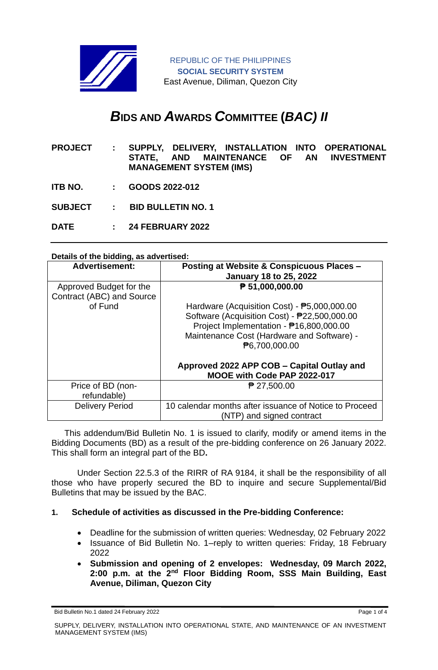

# *B***IDS AND** *A***WARDS** *C***OMMITTEE (***BAC) II*

- **PROJECT : SUPPLY, DELIVERY, INSTALLATION INTO OPERATIONAL STATE, AND MAINTENANCE OF AN INVESTMENT MANAGEMENT SYSTEM (IMS)**
- **ITB NO. : GOODS 2022-012**
- **SUBJECT : BID BULLETIN NO. 1**
- **DATE : 24 FEBRUARY 2022**

#### **Details of the bidding, as advertised:**

| <b>Advertisement:</b>                                           | <b>Posting at Website &amp; Conspicuous Places -</b><br><b>January 18 to 25, 2022</b>                                                                                  |
|-----------------------------------------------------------------|------------------------------------------------------------------------------------------------------------------------------------------------------------------------|
| Approved Budget for the<br>Contract (ABC) and Source<br>of Fund | ₱ 51,000,000.00<br>Hardware (Acquisition Cost) - $\overline{P}5,000,000.00$<br>Software (Acquisition Cost) - P22,500,000.00<br>Project Implementation - ₱16,800,000.00 |
|                                                                 | Maintenance Cost (Hardware and Software) -<br><b>P6.700.000.00</b>                                                                                                     |
|                                                                 | Approved 2022 APP COB - Capital Outlay and<br>MOOE with Code PAP 2022-017                                                                                              |
| Price of BD (non-<br>refundable)                                | ₱ 27,500.00                                                                                                                                                            |
| <b>Delivery Period</b>                                          | 10 calendar months after issuance of Notice to Proceed<br>(NTP) and signed contract                                                                                    |

This addendum/Bid Bulletin No. 1 is issued to clarify, modify or amend items in the Bidding Documents (BD) as a result of the pre-bidding conference on 26 January 2022. This shall form an integral part of the BD**.**

Under Section 22.5.3 of the RIRR of RA 9184, it shall be the responsibility of all those who have properly secured the BD to inquire and secure Supplemental/Bid Bulletins that may be issued by the BAC.

### **1. Schedule of activities as discussed in the Pre-bidding Conference:**

- Deadline for the submission of written queries: Wednesday, 02 February 2022
- Issuance of Bid Bulletin No. 1–reply to written queries: Friday, 18 February 2022
- **Submission and opening of 2 envelopes: Wednesday, 09 March 2022, 2:00 p.m. at the 2nd Floor Bidding Room, SSS Main Building, East Avenue, Diliman, Quezon City**

Bid Bulletin No.1 dated 24 February 2022 **Page 1 of 4** Page 1 of 4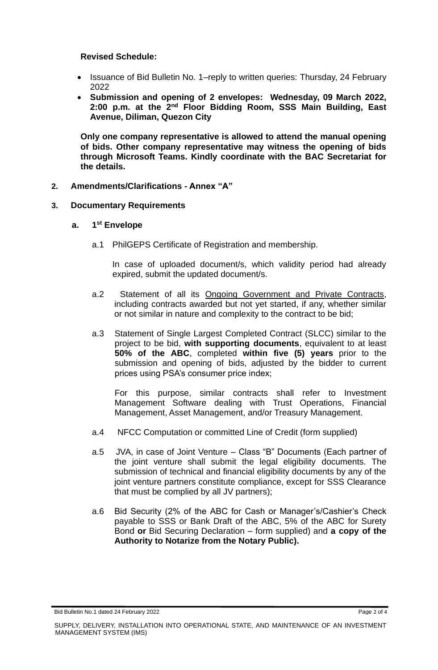#### **Revised Schedule:**

- Issuance of Bid Bulletin No. 1–reply to written queries: Thursday, 24 February 2022
- **Submission and opening of 2 envelopes: Wednesday, 09 March 2022, 2:00 p.m. at the 2nd Floor Bidding Room, SSS Main Building, East Avenue, Diliman, Quezon City**

**Only one company representative is allowed to attend the manual opening of bids. Other company representative may witness the opening of bids through Microsoft Teams. Kindly coordinate with the BAC Secretariat for the details.**

#### **2. Amendments/Clarifications - Annex "A"**

#### **3. Documentary Requirements**

#### **a. 1 st Envelope**

a.1 PhilGEPS Certificate of Registration and membership.

In case of uploaded document/s, which validity period had already expired, submit the updated document/s.

- a.2 Statement of all its Ongoing Government and Private Contracts, including contracts awarded but not yet started, if any, whether similar or not similar in nature and complexity to the contract to be bid;
- a.3 Statement of Single Largest Completed Contract (SLCC) similar to the project to be bid, **with supporting documents**, equivalent to at least **50% of the ABC**, completed **within five (5) years** prior to the submission and opening of bids, adjusted by the bidder to current prices using PSA's consumer price index;

For this purpose, similar contracts shall refer to Investment Management Software dealing with Trust Operations, Financial Management, Asset Management, and/or Treasury Management.

- a.4 NFCC Computation or committed Line of Credit (form supplied)
- a.5 JVA, in case of Joint Venture Class "B" Documents (Each partner of the joint venture shall submit the legal eligibility documents. The submission of technical and financial eligibility documents by any of the joint venture partners constitute compliance, except for SSS Clearance that must be complied by all JV partners);
- a.6 Bid Security (2% of the ABC for Cash or Manager's/Cashier's Check payable to SSS or Bank Draft of the ABC, 5% of the ABC for Surety Bond **or** Bid Securing Declaration – form supplied) and **a copy of the Authority to Notarize from the Notary Public).**

Bid Bulletin No.1 dated 24 February 2022 **Page 2 of 4** Page 2 of 4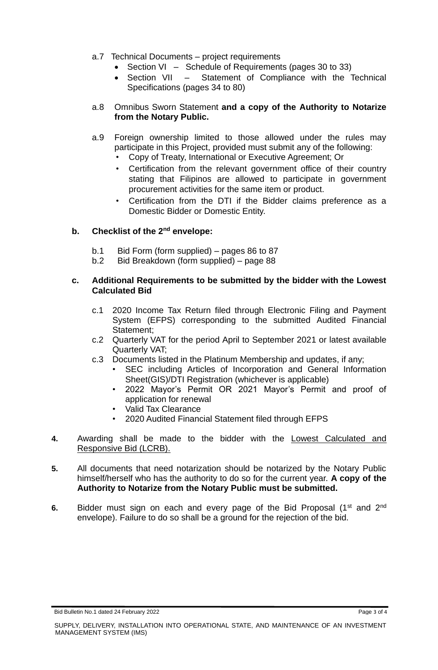- a.7 Technical Documents project requirements
	- Section VI Schedule of Requirements (pages 30 to 33)
	- Section VII Statement of Compliance with the Technical Specifications (pages 34 to 80)

#### a.8 Omnibus Sworn Statement **and a copy of the Authority to Notarize from the Notary Public.**

- a.9 Foreign ownership limited to those allowed under the rules may participate in this Project, provided must submit any of the following:
	- Copy of Treaty, International or Executive Agreement; Or
	- Certification from the relevant government office of their country stating that Filipinos are allowed to participate in government procurement activities for the same item or product.
	- Certification from the DTI if the Bidder claims preference as a Domestic Bidder or Domestic Entity.

## **b. Checklist of the 2nd envelope:**

- b.1 Bid Form (form supplied) pages 86 to 87
- b.2 Bid Breakdown (form supplied) page 88

#### **c. Additional Requirements to be submitted by the bidder with the Lowest Calculated Bid**

- c.1 2020 Income Tax Return filed through Electronic Filing and Payment System (EFPS) corresponding to the submitted Audited Financial Statement;
- c.2 Quarterly VAT for the period April to September 2021 or latest available Quarterly VAT;
- c.3 Documents listed in the Platinum Membership and updates, if any;
	- SEC including Articles of Incorporation and General Information Sheet(GIS)/DTI Registration (whichever is applicable)
	- 2022 Mayor's Permit OR 2021 Mayor's Permit and proof of application for renewal
	- Valid Tax Clearance
	- 2020 Audited Financial Statement filed through EFPS
- **4.** Awarding shall be made to the bidder with the Lowest Calculated and Responsive Bid (LCRB).
- **5.** All documents that need notarization should be notarized by the Notary Public himself/herself who has the authority to do so for the current year. **A copy of the Authority to Notarize from the Notary Public must be submitted.**
- **6.** Bidder must sign on each and every page of the Bid Proposal (1<sup>st</sup> and 2<sup>nd</sup> envelope). Failure to do so shall be a ground for the rejection of the bid.

Bid Bulletin No.1 dated 24 February 2022 **Page 3 of 4** Page 3 of 4